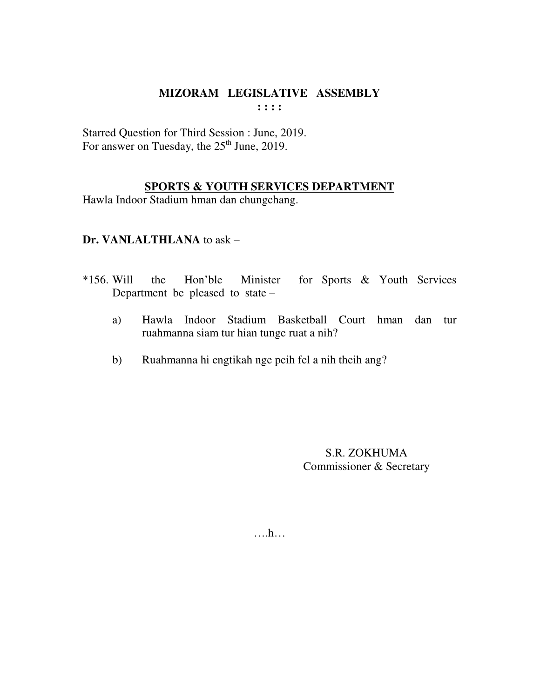Starred Question for Third Session : June, 2019. For answer on Tuesday, the  $25<sup>th</sup>$  June, 2019.

## **SPORTS & YOUTH SERVICES DEPARTMENT**

Hawla Indoor Stadium hman dan chungchang.

## **Dr. VANLALTHLANA** to ask –

- \*156. Will the Hon'ble Minister for Sports & Youth Services Department be pleased to state –
	- a) Hawla Indoor Stadium Basketball Court hman dan tur ruahmanna siam tur hian tunge ruat a nih?
	- b) Ruahmanna hi engtikah nge peih fel a nih theih ang?

S.R. ZOKHUMA Commissioner & Secretary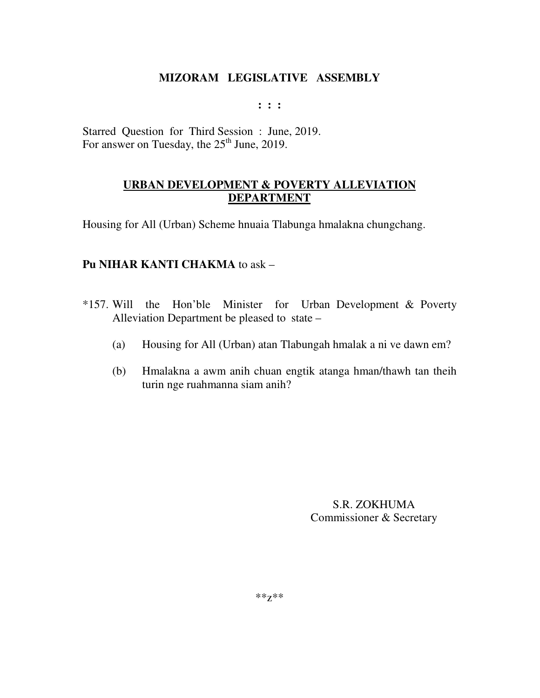**: : :** 

Starred Question for Third Session : June, 2019. For answer on Tuesday, the  $25<sup>th</sup>$  June, 2019.

# **URBAN DEVELOPMENT & POVERTY ALLEVIATION DEPARTMENT**

Housing for All (Urban) Scheme hnuaia Tlabunga hmalakna chungchang.

## **Pu NIHAR KANTI CHAKMA** to ask –

- \*157. Will the Hon'ble Minister for Urban Development & Poverty Alleviation Department be pleased to state –
	- (a) Housing for All (Urban) atan Tlabungah hmalak a ni ve dawn em?
	- (b) Hmalakna a awm anih chuan engtik atanga hman/thawh tan theih turin nge ruahmanna siam anih?

S.R. ZOKHUMA Commissioner & Secretary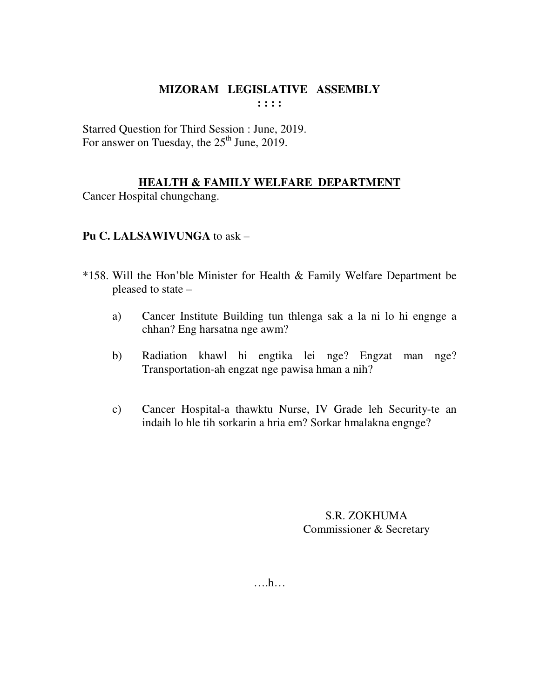Starred Question for Third Session : June, 2019. For answer on Tuesday, the  $25<sup>th</sup>$  June, 2019.

# **HEALTH & FAMILY WELFARE DEPARTMENT**

Cancer Hospital chungchang.

# **Pu C. LALSAWIVUNGA** to ask –

- \*158. Will the Hon'ble Minister for Health & Family Welfare Department be pleased to state –
	- a) Cancer Institute Building tun thlenga sak a la ni lo hi engnge a chhan? Eng harsatna nge awm?
	- b) Radiation khawl hi engtika lei nge? Engzat man nge? Transportation-ah engzat nge pawisa hman a nih?
	- c) Cancer Hospital-a thawktu Nurse, IV Grade leh Security-te an indaih lo hle tih sorkarin a hria em? Sorkar hmalakna engnge?

S.R. ZOKHUMA Commissioner & Secretary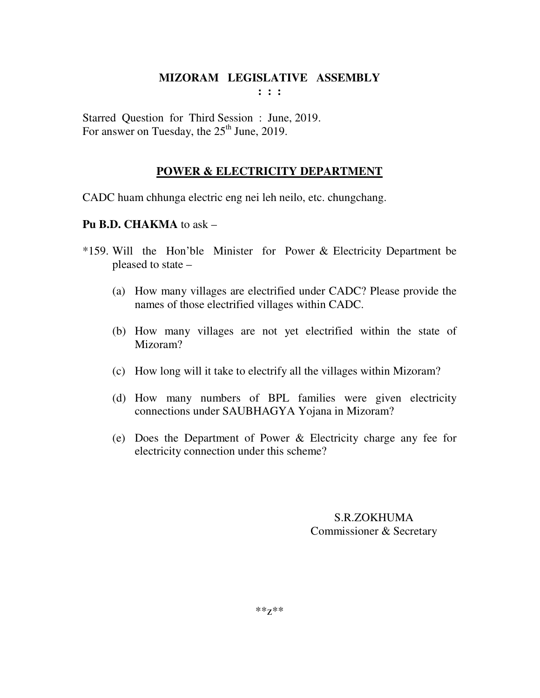**: : :** 

Starred Question for Third Session : June, 2019. For answer on Tuesday, the  $25<sup>th</sup>$  June, 2019.

# **POWER & ELECTRICITY DEPARTMENT**

CADC huam chhunga electric eng nei leh neilo, etc. chungchang.

# **Pu B.D. CHAKMA** to ask –

- \*159. Will the Hon'ble Minister for Power & Electricity Department be pleased to state –
	- (a) How many villages are electrified under CADC? Please provide the names of those electrified villages within CADC.
	- (b) How many villages are not yet electrified within the state of Mizoram?
	- (c) How long will it take to electrify all the villages within Mizoram?
	- (d) How many numbers of BPL families were given electricity connections under SAUBHAGYA Yojana in Mizoram?
	- (e) Does the Department of Power & Electricity charge any fee for electricity connection under this scheme?

# S.R.ZOKHUMA Commissioner & Secretary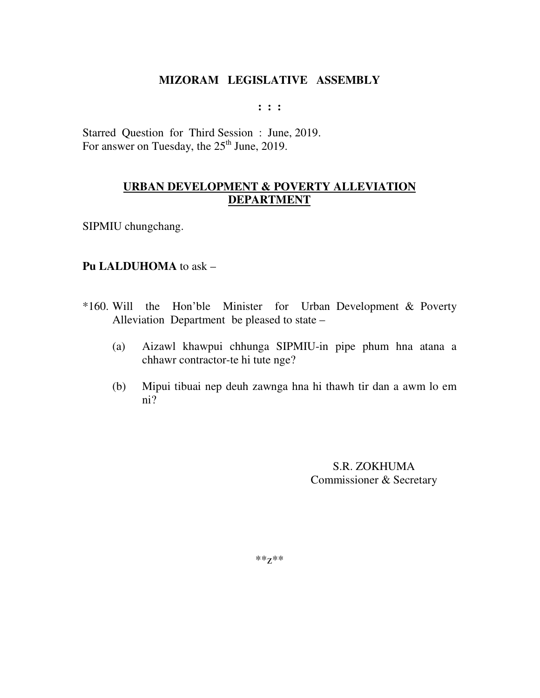**: : :** 

Starred Question for Third Session : June, 2019. For answer on Tuesday, the  $25<sup>th</sup>$  June, 2019.

# **URBAN DEVELOPMENT & POVERTY ALLEVIATION DEPARTMENT**

SIPMIU chungchang.

#### **Pu LALDUHOMA** to ask –

- \*160. Will the Hon'ble Minister for Urban Development & Poverty Alleviation Department be pleased to state –
	- (a) Aizawl khawpui chhunga SIPMIU-in pipe phum hna atana a chhawr contractor-te hi tute nge?
	- (b) Mipui tibuai nep deuh zawnga hna hi thawh tir dan a awm lo em ni?

S.R. ZOKHUMA Commissioner & Secretary

\*\*z\*\*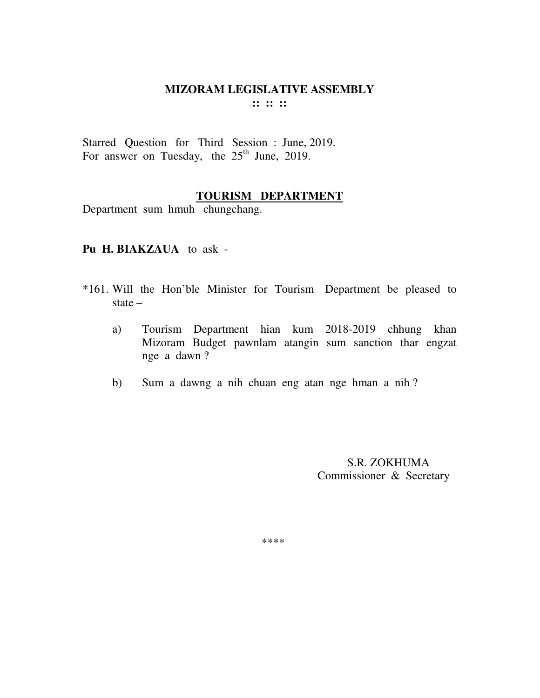Starred Question for Third Session : June, 2019. For answer on Tuesday, the  $25<sup>th</sup>$  June, 2019.

# **TOURISM DEPARTMENT**

Department sum hmuh chungchang.

#### **Pu H. BIAKZAUA** to ask -

- \*161. Will the Hon'ble Minister for Tourism Department be pleased to state –
	- a) Tourism Department hian kum 2018-2019 chhung khan Mizoram Budget pawnlam atangin sum sanction thar engzat nge a dawn ?
	- b) Sum a dawng a nih chuan eng atan nge hman a nih ?

 S.R. ZOKHUMA Commissioner & Secretary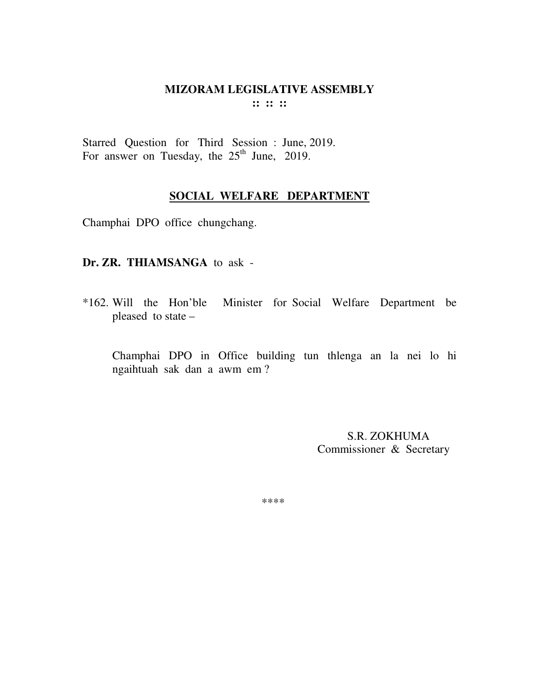Starred Question for Third Session : June, 2019. For answer on Tuesday, the  $25<sup>th</sup>$  June, 2019.

# **SOCIAL WELFARE DEPARTMENT**

Champhai DPO office chungchang.

#### **Dr. ZR. THIAMSANGA** to ask -

\*162. Will the Hon'ble Minister for Social Welfare Department be pleased to state –

 Champhai DPO in Office building tun thlenga an la nei lo hi ngaihtuah sak dan a awm em ?

> S.R. ZOKHUMA Commissioner & Secretary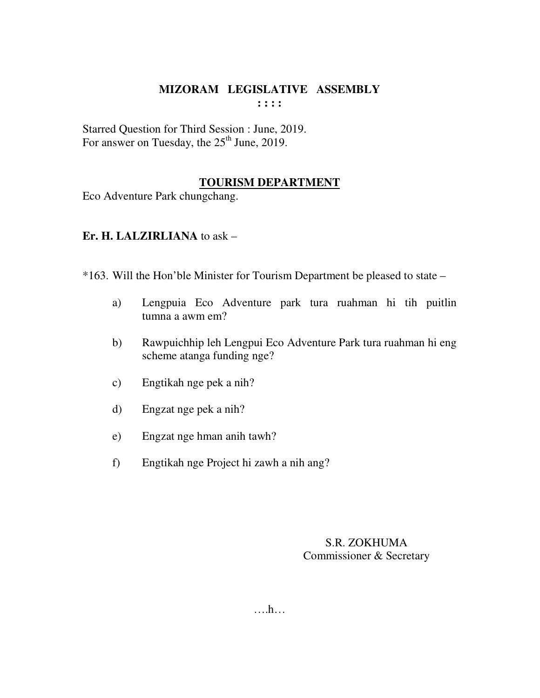Starred Question for Third Session : June, 2019. For answer on Tuesday, the  $25<sup>th</sup>$  June, 2019.

# **TOURISM DEPARTMENT**

Eco Adventure Park chungchang.

# **Er. H. LALZIRLIANA** to ask –

\*163. Will the Hon'ble Minister for Tourism Department be pleased to state –

- a) Lengpuia Eco Adventure park tura ruahman hi tih puitlin tumna a awm em?
- b) Rawpuichhip leh Lengpui Eco Adventure Park tura ruahman hi eng scheme atanga funding nge?
- c) Engtikah nge pek a nih?
- d) Engzat nge pek a nih?
- e) Engzat nge hman anih tawh?
- f) Engtikah nge Project hi zawh a nih ang?

## S.R. ZOKHUMA Commissioner & Secretary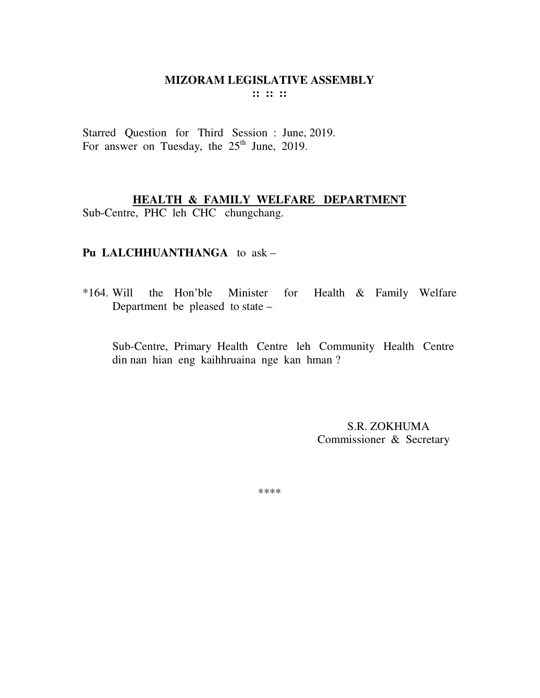Starred Question for Third Session : June, 2019. For answer on Tuesday, the  $25<sup>th</sup>$  June, 2019.

# **HEALTH & FAMILY WELFARE DEPARTMENT**

Sub-Centre, PHC leh CHC chungchang.

# **Pu LALCHHUANTHANGA** to ask –

\*164. Will the Hon'ble Minister for Health & Family Welfare Department be pleased to state –

Sub-Centre, Primary Health Centre leh Community Health Centre din nan hian eng kaihhruaina nge kan hman ?

> S.R. ZOKHUMA Commissioner & Secretary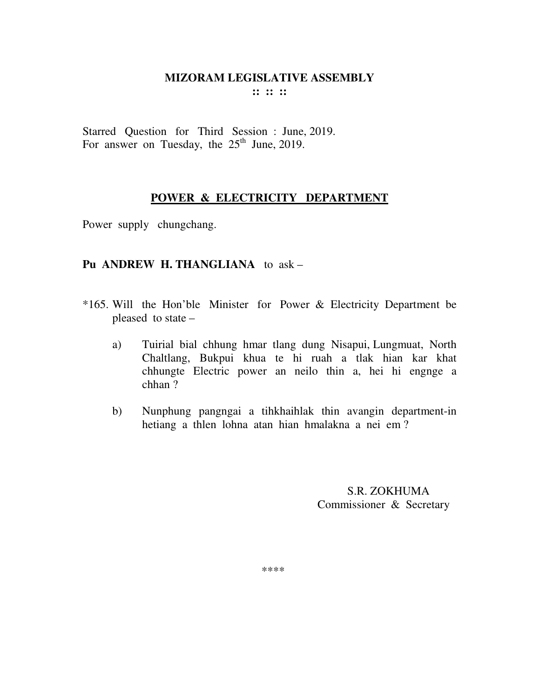Starred Question for Third Session : June, 2019. For answer on Tuesday, the  $25<sup>th</sup>$  June, 2019.

# **POWER & ELECTRICITY DEPARTMENT**

Power supply chungchang.

## **Pu ANDREW H. THANGLIANA** to ask –

- \*165. Will the Hon'ble Minister for Power & Electricity Department be pleased to state –
	- a) Tuirial bial chhung hmar tlang dung Nisapui, Lungmuat, North Chaltlang, Bukpui khua te hi ruah a tlak hian kar khat chhungte Electric power an neilo thin a, hei hi engnge a chhan ?
	- b) Nunphung pangngai a tihkhaihlak thin avangin department-in hetiang a thlen lohna atan hian hmalakna a nei em ?

 S.R. ZOKHUMA Commissioner & Secretary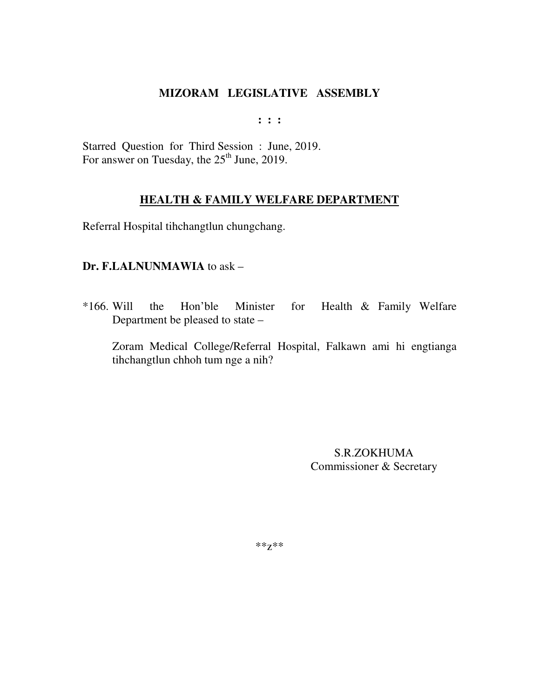**: : :** 

Starred Question for Third Session : June, 2019. For answer on Tuesday, the 25<sup>th</sup> June, 2019.

# **HEALTH & FAMILY WELFARE DEPARTMENT**

Referral Hospital tihchangtlun chungchang.

## **Dr. F.LALNUNMAWIA** to ask –

\*166. Will the Hon'ble Minister for Health & Family Welfare Department be pleased to state –

Zoram Medical College/Referral Hospital, Falkawn ami hi engtianga tihchangtlun chhoh tum nge a nih?

> S.R.ZOKHUMA Commissioner & Secretary

\*\*z\*\*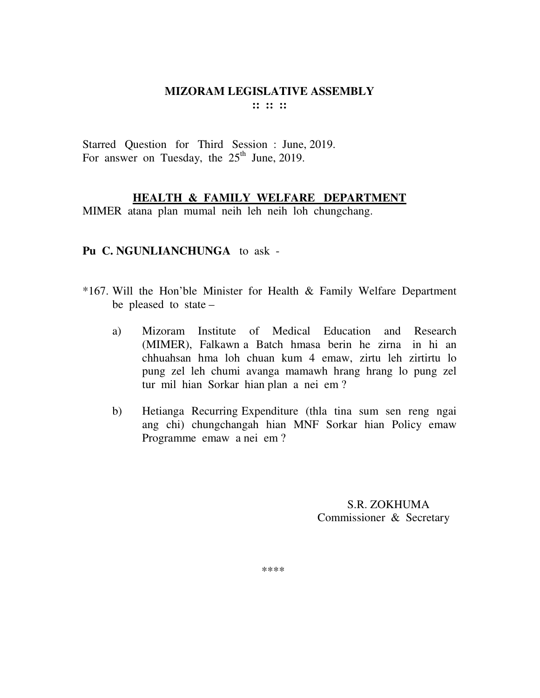Starred Question for Third Session : June, 2019. For answer on Tuesday, the  $25<sup>th</sup>$  June, 2019.

## **HEALTH & FAMILY WELFARE DEPARTMENT**

MIMER atana plan mumal neih leh neih loh chungchang.

#### **Pu C. NGUNLIANCHUNGA** to ask -

- \*167. Will the Hon'ble Minister for Health & Family Welfare Department be pleased to state –
	- a) Mizoram Institute of Medical Education and Research (MIMER), Falkawn a Batch hmasa berin he zirna in hi an chhuahsan hma loh chuan kum 4 emaw, zirtu leh zirtirtu lo pung zel leh chumi avanga mamawh hrang hrang lo pung zel tur mil hian Sorkar hian plan a nei em ?
	- b) Hetianga Recurring Expenditure (thla tina sum sen reng ngai ang chi) chungchangah hian MNF Sorkar hian Policy emaw Programme emaw a nei em ?

 S.R. ZOKHUMA Commissioner & Secretary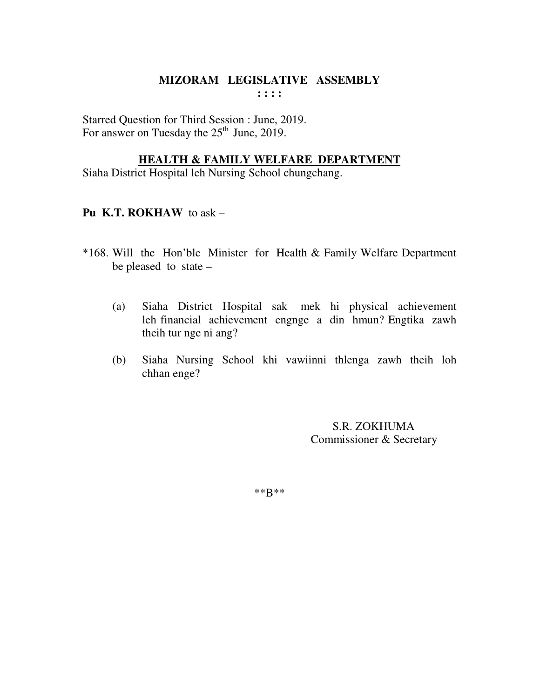Starred Question for Third Session : June, 2019. For answer on Tuesday the  $25<sup>th</sup>$  June, 2019.

#### **HEALTH & FAMILY WELFARE DEPARTMENT**

Siaha District Hospital leh Nursing School chungchang.

## **Pu K.T. ROKHAW** to ask –

- \*168. Will the Hon'ble Minister for Health & Family Welfare Department be pleased to state –
	- (a) Siaha District Hospital sak mek hi physical achievement leh financial achievement engnge a din hmun? Engtika zawh theih tur nge ni ang?
	- (b) Siaha Nursing School khi vawiinni thlenga zawh theih loh chhan enge?

 S.R. ZOKHUMA Commissioner & Secretary

\*\*B\*\*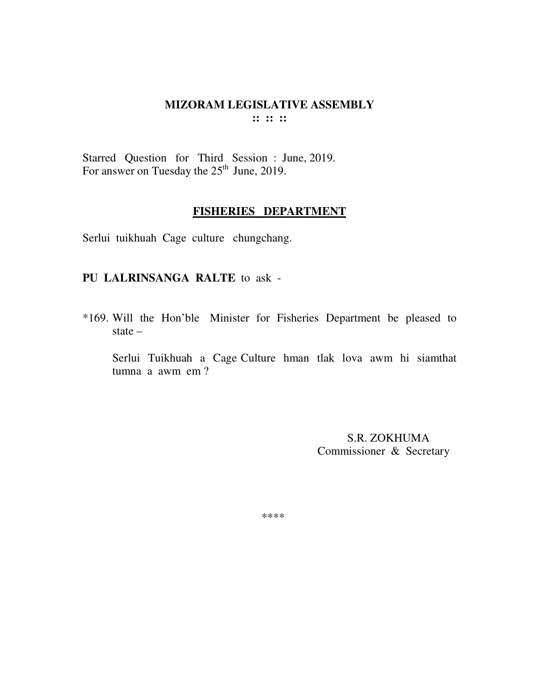Starred Question for Third Session : June, 2019. For answer on Tuesday the  $25<sup>th</sup>$  June, 2019.

## **FISHERIES DEPARTMENT**

Serlui tuikhuah Cage culture chungchang.

## **PU LALRINSANGA RALTE** to ask -

\*169. Will the Hon'ble Minister for Fisheries Department be pleased to state –

 Serlui Tuikhuah a Cage Culture hman tlak lova awm hi siamthat tumna a awm em ?

> S.R. ZOKHUMA Commissioner & Secretary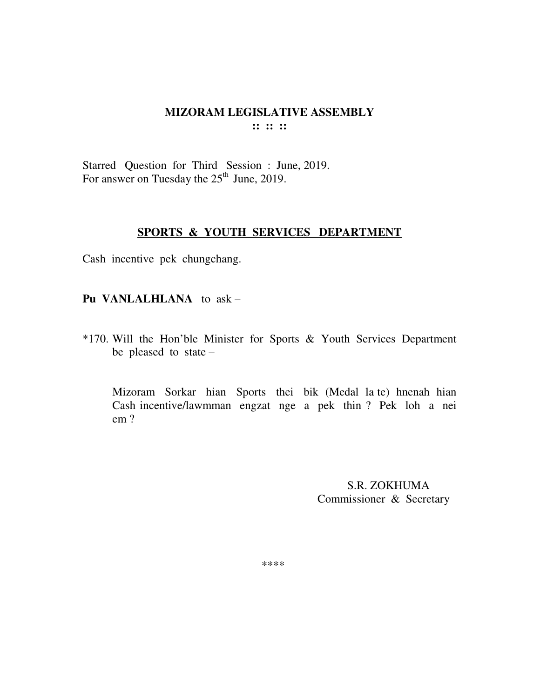Starred Question for Third Session : June, 2019. For answer on Tuesday the  $25<sup>th</sup>$  June, 2019.

#### **SPORTS & YOUTH SERVICES DEPARTMENT**

Cash incentive pek chungchang.

**Pu VANLALHLANA** to ask –

\*170. Will the Hon'ble Minister for Sports & Youth Services Department be pleased to state –

Mizoram Sorkar hian Sports thei bik (Medal la te) hnenah hian Cash incentive/lawmman engzat nge a pek thin ? Pek loh a nei em ?

> S.R. ZOKHUMA Commissioner & Secretary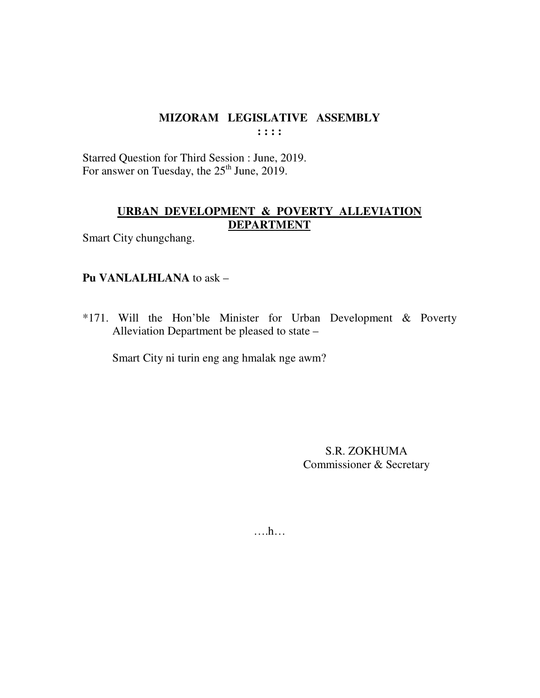Starred Question for Third Session : June, 2019. For answer on Tuesday, the  $25<sup>th</sup>$  June, 2019.

# **URBAN DEVELOPMENT & POVERTY ALLEVIATION DEPARTMENT**

Smart City chungchang.

# **Pu VANLALHLANA** to ask –

\*171. Will the Hon'ble Minister for Urban Development & Poverty Alleviation Department be pleased to state –

Smart City ni turin eng ang hmalak nge awm?

S.R. ZOKHUMA Commissioner & Secretary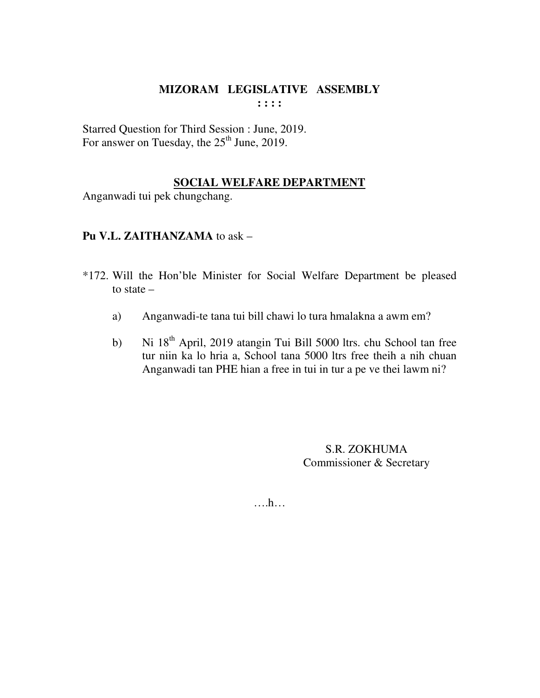Starred Question for Third Session : June, 2019. For answer on Tuesday, the  $25<sup>th</sup>$  June, 2019.

# **SOCIAL WELFARE DEPARTMENT**

Anganwadi tui pek chungchang.

# **Pu V.L. ZAITHANZAMA** to ask –

- \*172. Will the Hon'ble Minister for Social Welfare Department be pleased to state –
	- a) Anganwadi-te tana tui bill chawi lo tura hmalakna a awm em?
	- b) Ni 18<sup>th</sup> April, 2019 atangin Tui Bill 5000 ltrs. chu School tan free tur niin ka lo hria a, School tana 5000 ltrs free theih a nih chuan Anganwadi tan PHE hian a free in tui in tur a pe ve thei lawm ni?

S.R. ZOKHUMA Commissioner & Secretary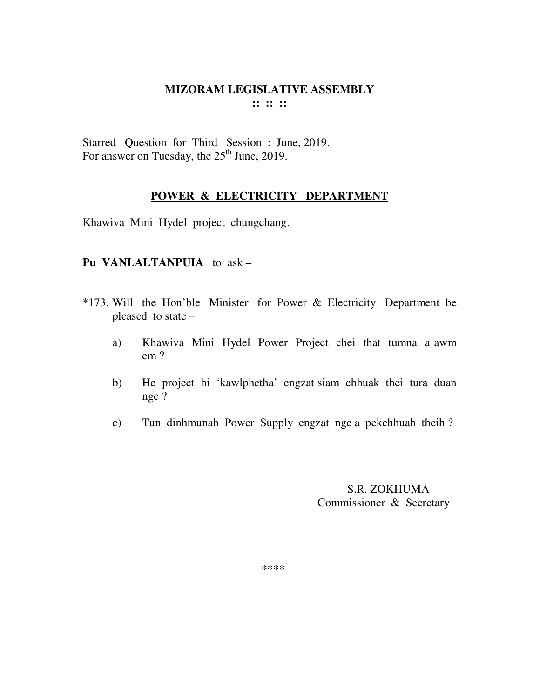Starred Question for Third Session : June, 2019. For answer on Tuesday, the 25<sup>th</sup> June, 2019.

# **POWER & ELECTRICITY DEPARTMENT**

Khawiva Mini Hydel project chungchang.

## **Pu VANLALTANPUIA** to ask –

- \*173. Will the Hon'ble Minister for Power & Electricity Department be pleased to state –
	- a) Khawiva Mini Hydel Power Project chei that tumna a awm em ?
	- b) He project hi 'kawlphetha' engzat siam chhuak thei tura duan nge ?
	- c) Tun dinhmunah Power Supply engzat nge a pekchhuah theih ?

 S.R. ZOKHUMA Commissioner & Secretary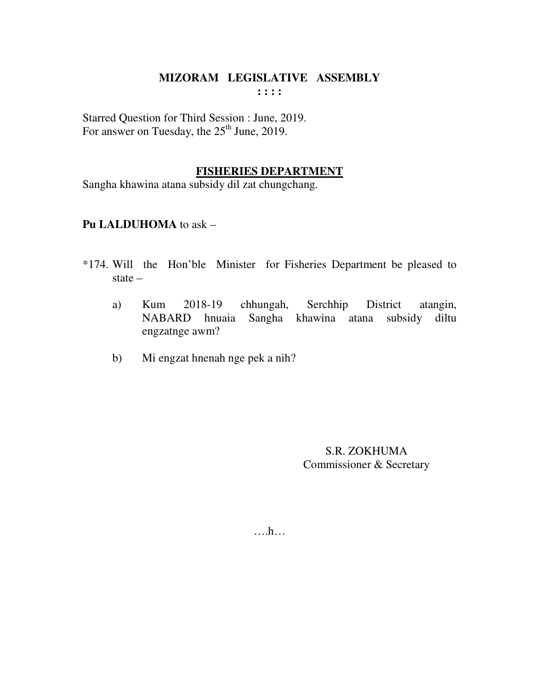**: : : :** 

Starred Question for Third Session : June, 2019. For answer on Tuesday, the  $25<sup>th</sup>$  June, 2019.

## **FISHERIES DEPARTMENT**

Sangha khawina atana subsidy dil zat chungchang.

# **Pu LALDUHOMA** to ask –

- \*174. Will the Hon'ble Minister for Fisheries Department be pleased to state –
	- a) Kum 2018-19 chhungah, Serchhip District atangin, NABARD hnuaia Sangha khawina atana subsidy diltu engzatnge awm?
	- b) Mi engzat hnenah nge pek a nih?

S.R. ZOKHUMA Commissioner & Secretary